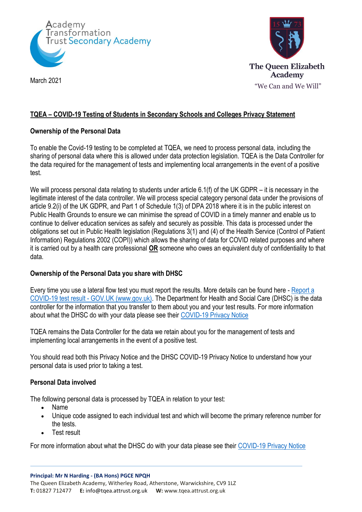



March 2021

## **TQEA – COVID-19 Testing of Students in Secondary Schools and Colleges Privacy Statement**

## **Ownership of the Personal Data**

To enable the Covid-19 testing to be completed at TQEA, we need to process personal data, including the sharing of personal data where this is allowed under data protection legislation. TQEA is the Data Controller for the data required for the management of tests and implementing local arrangements in the event of a positive test.

We will process personal data relating to students under article 6.1(f) of the UK GDPR – it is necessary in the legitimate interest of the data controller. We will process special category personal data under the provisions of article 9.2(i) of the UK GDPR, and Part 1 of Schedule 1(3) of DPA 2018 where it is in the public interest on Public Health Grounds to ensure we can minimise the spread of COVID in a timely manner and enable us to continue to deliver education services as safely and securely as possible. This data is processed under the obligations set out in Public Health legislation (Regulations 3(1) and (4) of the Health Service (Control of Patient Information) Regulations 2002 (COPI)) which allows the sharing of data for COVID related purposes and where it is carried out by a health care professional **OR** someone who owes an equivalent duty of confidentiality to that data.

# **Ownership of the Personal Data you share with DHSC**

Every time you use a lateral flow test you must report the results. More details can be found here - [Report a](https://www.gov.uk/report-covid19-result)  COVID-19 test result - [GOV.UK \(www.gov.uk\).](https://www.gov.uk/report-covid19-result) The Department for Health and Social Care (DHSC) is the data controller for the information that you transfer to them about you and your test results. For more information about what the DHSC do with your data please see their [COVID-19 Privacy Notice](https://www.gov.uk/government/publications/coronavirus-covid-19-testing-privacy-information)

TQEA remains the Data Controller for the data we retain about you for the management of tests and implementing local arrangements in the event of a positive test.

You should read both this Privacy Notice and the DHSC COVID-19 Privacy Notice to understand how your personal data is used prior to taking a test.

#### **Personal Data involved**

The following personal data is processed by TQEA in relation to your test:

- Name
- Unique code assigned to each individual test and which will become the primary reference number for the tests.
- Test result

For more information about what the DHSC do with your data please see their [COVID-19 Privacy Notice](https://www.gov.uk/government/publications/coronavirus-covid-19-testing-privacy-information)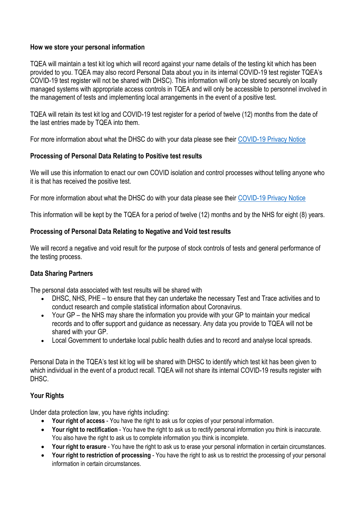## **How we store your personal information**

TQEA will maintain a test kit log which will record against your name details of the testing kit which has been provided to you. TQEA may also record Personal Data about you in its internal COVID-19 test register TQEA's COVID-19 test register will not be shared with DHSC). This information will only be stored securely on locally managed systems with appropriate access controls in TQEA and will only be accessible to personnel involved in the management of tests and implementing local arrangements in the event of a positive test.

TQEA will retain its test kit log and COVID-19 test register for a period of twelve (12) months from the date of the last entries made by TQEA into them.

For more information about what the DHSC do with your data please see their [COVID-19 Privacy Notice](https://www.gov.uk/government/publications/coronavirus-covid-19-testing-privacy-information)

## **Processing of Personal Data Relating to Positive test results**

We will use this information to enact our own COVID isolation and control processes without telling anyone who it is that has received the positive test.

For more information about what the DHSC do with your data please see their [COVID-19 Privacy Notice](https://www.gov.uk/government/publications/coronavirus-covid-19-testing-privacy-information)

This information will be kept by the TQEA for a period of twelve (12) months and by the NHS for eight (8) years.

## **Processing of Personal Data Relating to Negative and Void test results**

We will record a negative and void result for the purpose of stock controls of tests and general performance of the testing process.

# **Data Sharing Partners**

The personal data associated with test results will be shared with

- DHSC, NHS, PHE to ensure that they can undertake the necessary Test and Trace activities and to conduct research and compile statistical information about Coronavirus.
- Your GP the NHS may share the information you provide with your GP to maintain your medical records and to offer support and guidance as necessary. Any data you provide to TQEA will not be shared with your GP.
- Local Government to undertake local public health duties and to record and analyse local spreads.

Personal Data in the TQEA's test kit log will be shared with DHSC to identify which test kit has been given to which individual in the event of a product recall. TQEA will not share its internal COVID-19 results register with DHSC.

#### **Your Rights**

Under data protection law, you have rights including:

- **Your right of access** You have the right to ask us for copies of your personal information.
- **Your right to rectification** You have the right to ask us to rectify personal information you think is inaccurate. You also have the right to ask us to complete information you think is incomplete.
- **Your right to erasure** You have the right to ask us to erase your personal information in certain circumstances.
- **Your right to restriction of processing** You have the right to ask us to restrict the processing of your personal information in certain circumstances.